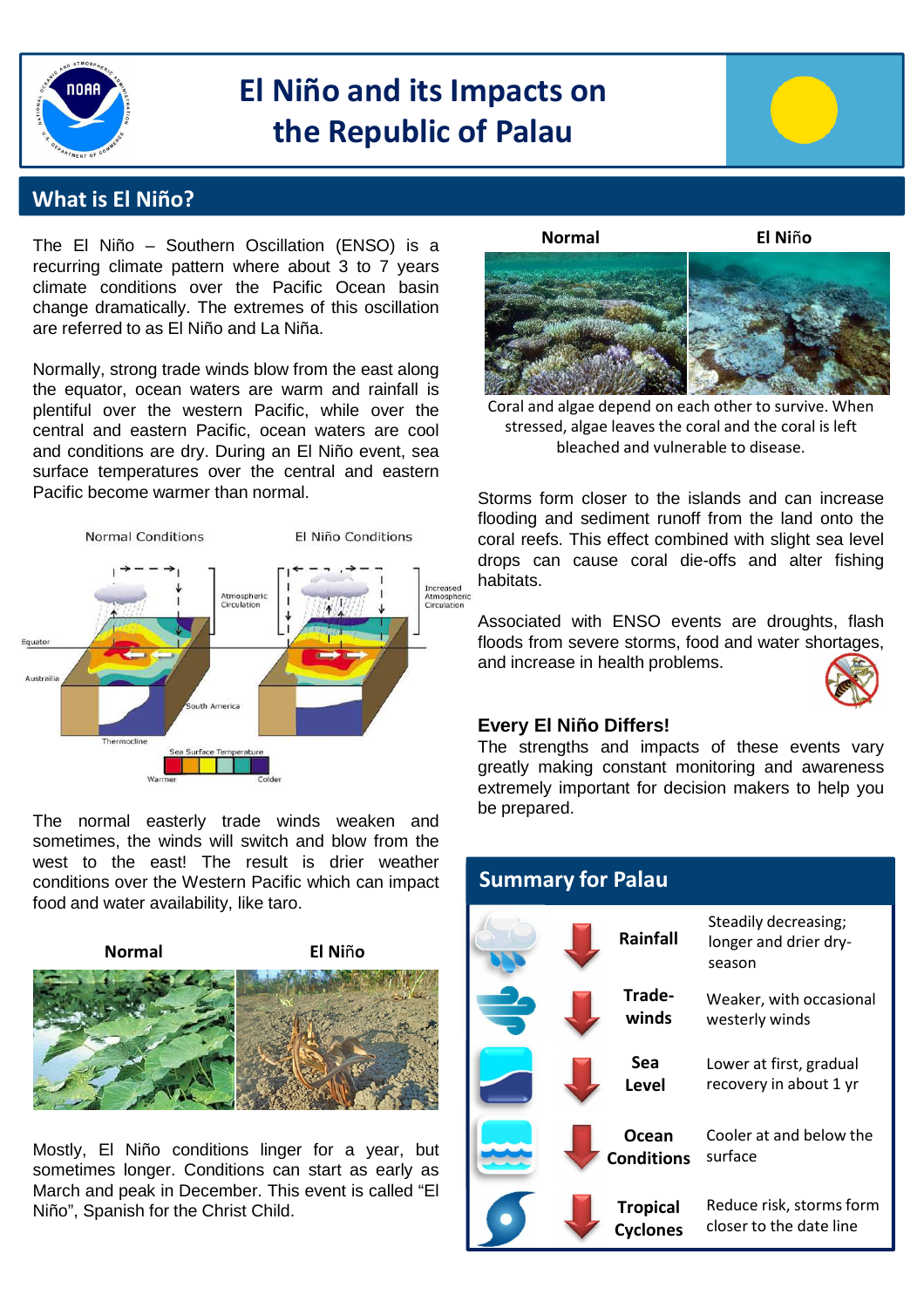

# **El Niño and its Impacts on the Republic of Palau**



### **What is El Niño?**

The El Niño – Southern Oscillation (ENSO) is a recurring climate pattern where about 3 to 7 years climate conditions over the Pacific Ocean basin change dramatically. The extremes of this oscillation are referred to as El Niño and La Niña.

Normally, strong trade winds blow from the east along the equator, ocean waters are warm and rainfall is plentiful over the western Pacific, while over the central and eastern Pacific, ocean waters are cool and conditions are dry. During an El Niño event, sea surface temperatures over the central and eastern Pacific become warmer than normal.



The normal easterly trade winds weaken and sometimes, the winds will switch and blow from the west to the east! The result is drier weather conditions over the Western Pacific which can impact food and water availability, like taro.



Mostly, El Niño conditions linger for a year, but sometimes longer. Conditions can start as early as March and peak in December. This event is called "El Niño", Spanish for the Christ Child.





bleached and vulnerable to disease. Coral and algae depend on each other to survive. When stressed, algae leaves the coral and the coral is left

Storms form closer to the islands and can increase flooding and sediment runoff from the land onto the coral reefs. This effect combined with slight sea level drops can cause coral die-offs and alter fishing habitats.

Associated with ENSO events are droughts, flash floods from severe storms, food and water shortages, and increase in health problems.



#### **Every El Niño Differs!**

The strengths and impacts of these events vary greatly making constant monitoring and awareness extremely important for decision makers to help you be prepared.

| <b>Summary for Palau</b> |                                    |                                                         |
|--------------------------|------------------------------------|---------------------------------------------------------|
|                          | Rainfall                           | Steadily decreasing;<br>longer and drier dry-<br>season |
|                          | Trade-<br>winds                    | Weaker, with occasional<br>westerly winds               |
|                          | Sea<br><b>Level</b>                | Lower at first, gradual<br>recovery in about 1 yr       |
|                          | Ocean<br>Conditions                | Cooler at and below the<br>surface                      |
|                          | <b>Tropical</b><br><b>Cyclones</b> | Reduce risk, storms form<br>closer to the date line     |